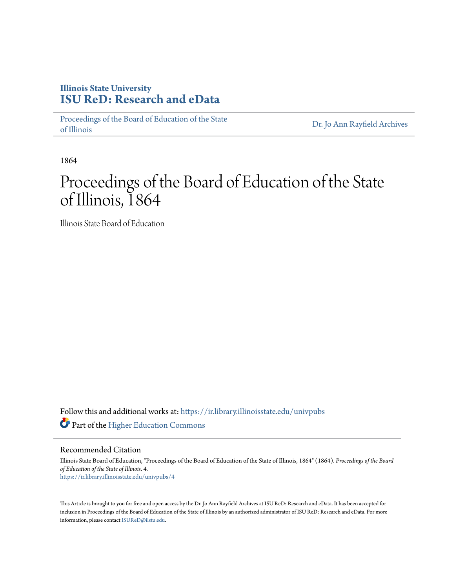### **Illinois State University [ISU ReD: Research and eData](https://ir.library.illinoisstate.edu?utm_source=ir.library.illinoisstate.edu%2Funivpubs%2F4&utm_medium=PDF&utm_campaign=PDFCoverPages)**

[Proceedings of the Board of Education of the State](https://ir.library.illinoisstate.edu/univpubs?utm_source=ir.library.illinoisstate.edu%2Funivpubs%2F4&utm_medium=PDF&utm_campaign=PDFCoverPages) [of Illinois](https://ir.library.illinoisstate.edu/univpubs?utm_source=ir.library.illinoisstate.edu%2Funivpubs%2F4&utm_medium=PDF&utm_campaign=PDFCoverPages)

[Dr. Jo Ann Rayfield Archives](https://ir.library.illinoisstate.edu/arch?utm_source=ir.library.illinoisstate.edu%2Funivpubs%2F4&utm_medium=PDF&utm_campaign=PDFCoverPages)

1864

# Proceedings of the Board of Education of the State of Illinois, 1864

Illinois State Board of Education

Follow this and additional works at: [https://ir.library.illinoisstate.edu/univpubs](https://ir.library.illinoisstate.edu/univpubs?utm_source=ir.library.illinoisstate.edu%2Funivpubs%2F4&utm_medium=PDF&utm_campaign=PDFCoverPages) Part of the [Higher Education Commons](http://network.bepress.com/hgg/discipline/1245?utm_source=ir.library.illinoisstate.edu%2Funivpubs%2F4&utm_medium=PDF&utm_campaign=PDFCoverPages)

Recommended Citation

Illinois State Board of Education, "Proceedings of the Board of Education of the State of Illinois, 1864" (1864). *Proceedings of the Board of Education of the State of Illinois*. 4. [https://ir.library.illinoisstate.edu/univpubs/4](https://ir.library.illinoisstate.edu/univpubs/4?utm_source=ir.library.illinoisstate.edu%2Funivpubs%2F4&utm_medium=PDF&utm_campaign=PDFCoverPages)

This Article is brought to you for free and open access by the Dr. Jo Ann Rayfield Archives at ISU ReD: Research and eData. It has been accepted for inclusion in Proceedings of the Board of Education of the State of Illinois by an authorized administrator of ISU ReD: Research and eData. For more information, please contact [ISUReD@ilstu.edu.](mailto:ISUReD@ilstu.edu)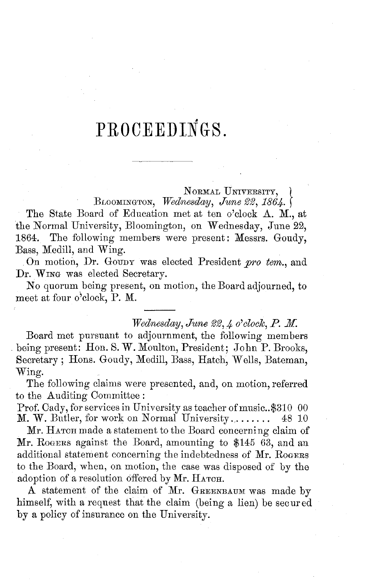## PROCEEDINGS.

NoRMAL **UNIVERSITY,** BLOOMINGTON, *WFednesday, June 22, 1864. J*

The State Board of Education met at ten o'clock A. M., at the Normal University, Bloomington, on Wednesday, June 22, 1864. The following members were present: Messrs. Goudy, Bass, Medill, and Wing.

On motion, Dr. Goupy was elected President pro tem., and Dr. WING was elected Secretary.

No quorum being present, on motion, the Board adjourned, to meet at four o'clock, P. M.

#### *Wednesday, June 22, 4 o'clock, P. M.*

Board met pursuant to adjournment, the following members being present: Hon. S. W. Moulton, President; John P. Brooks, Secretary; Hons. Goudy, Medill, Bass, Hatch, Wells, Bateman, Wing.

The following claims were presented, and, on motion, referred to the Auditing Committee:

Prof. Cady, for services in University as teacher of music..\$310 00  $M$ . W. Butler, for work on Normal University........ 48 10 M. W. Butler, for work on Normal University  $\dots$ .

Mr. HATCH made a statement to the Board concerning claim of **Mr.** ROGrERS against the Board, amounting to \$145 63, and an additional statement concerning the indebtedness of Mr. RoGERS to the Board, when, on motion, the case was disposed of by the adoption of a resolution offered by Mr. HATCH.

A statement of the claim of Mr. GREENBAUM was made by himself, with a request that the claim (being a lien) be secured by a policy of insurance on the University.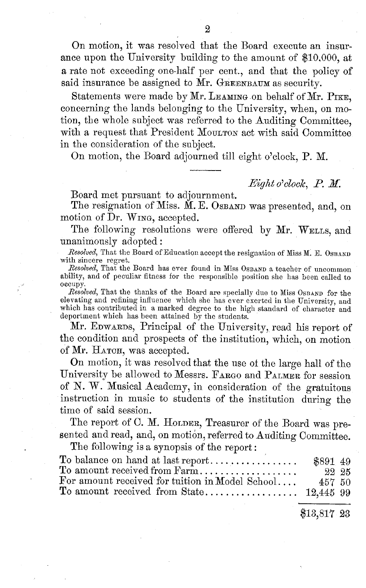On motion, it was resolved that the Board execute an insurance upon the University building to the amount of \$10.000, at a rate not exceeding one-half per cent., and that the policy of said insurance be assigned to  $\tilde{M}$ r. GREENBAUM as security.

Statements were made by Mr. LEAMING on behalf of Mr. PIKE, concerning the lands belonging to the University, when, on motion, the whole subject was referred to the Auditing Committee, with a request that President MOULTON act with said Committee in the consideration of the subject.

On motion, the Board adjourned till eight o'clock, P. M.

#### *Eight o'clock, P. X.*

Board met pursuant to adjournment.

The resignation of Miss. M. E. OSBAND was presented, and, on motion of Dr. WING, accepted.

The following resolutions were offered by Mr. WELLS, and unanimously adopted:

*Resolved,* That the Board of Education accept the resignation of Miss IM. E. **OSBAND** with sincere regret.<br>Resolved, That the Board has ever found in Miss OSBAND a teacher of uncommon

ability, and of peculiar fitness for the responsible position she has been called to occupy.

*Resolved,* That the thanks of the Board are specially due to Miss **OSBAND** for the elevating and refining influence which she has ever exerted in the University, and which has contributed in a marked degree to the high standard of character and deportment which has been attained by the students.

Mr. EDWARDS, Principal of the University, read his report of the condition and prospects of the institution, which, on motion of Mr. HATCH, was accepted.

On motion, it was resolved that the use of the large hall of the University be allowed to Messrs. FARGO and PALMER for session of N. W. Musical Academy, in consideration of the gratuitous instruction in music to students of the institution during the time of said session.

The report of C. M. HOLDER, Treasurer of the Board was presented and read, and, on motion, referred to Auditing Committee.

The following is a synopsis of the report:

|                                                 | \$891 49 |  |
|-------------------------------------------------|----------|--|
| To amount received from Farm                    | 22 25    |  |
| For amount received for tuition in Model School | 457 50   |  |
|                                                 |          |  |

\$13,817 23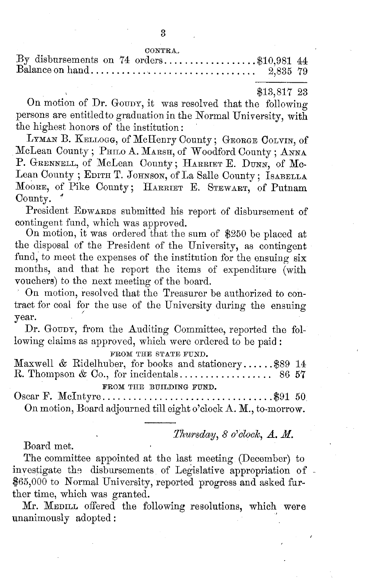#### \$13,817 23

On motion of Dr. GOUDY, it was resolved that the following persons are entitled to graduation in the Normal University, with the highest honors of the institution:

LYMAN B. KELLOGG, of McHenry County; GEORGE COLVIN, of McLean County; PHILO A. MARSH, of Woodford County; ANNA P. GRENNELL, of McLean County; **HARRIET** E. **DUNN,** of Mc-Lean County ; EDITH T. JOHNSON, of La Salle County; **ISABELLA MOORE,** of Pike County; HARRIET E. **STEWART,** of Putnam County.

President EDWARDS submitted his report of disbursement of contingent fund, which was approved.

On motion, it was ordered that the sum of \$250 be placed at the disposal of the President of the University, as contingent fund, to meet the expenses of the institution for the ensuing six months, and that he report the items of expenditure (with vouchers) to the next meeting of the board.

On motion, resolved that the Treasurer be authorized to contract for coal for the use of the University during the ensuing year.

Dr. GOUDY, from the Auditing Committee, reported the following claims as approved, which were ordered to be paid:

**FROM THE STATE FUND.**

Maxwell & Ridelhuber, for books and stationery ...... \$89 14 R. Thompson & Co., for incidentals .................. 86 57 **FROM THE BUILDING FUND.**

Oscar F. M cIntyre ................................. \$91 50 On motion, Board adjourned till eight o'clock A. M., to-morrow.

*Thwrsday, 8 o'clook, A. M.*

Board met.

The committee appointed at the last meeting (December) to investigate the disbursements of Legislative appropriation of -\$65,000 to Normal University, reported progress and asked **fur**ther time, which was granted.

Mr. **MEDILL** offered the following resolutions, which were unanimously adopted: